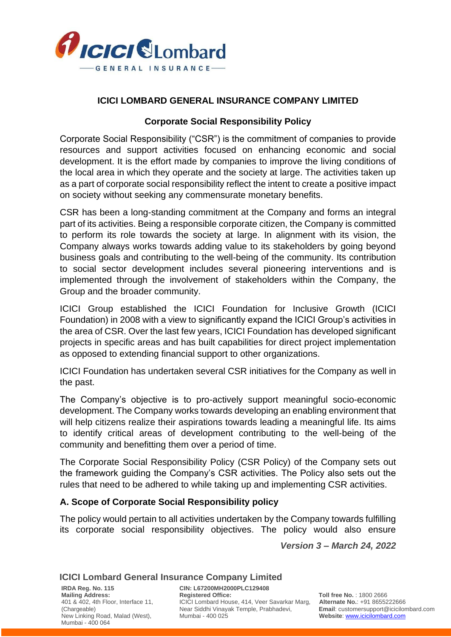

# **ICICI LOMBARD GENERAL INSURANCE COMPANY LIMITED**

# **Corporate Social Responsibility Policy**

Corporate Social Responsibility ("CSR") is the commitment of companies to provide resources and support activities focused on enhancing economic and social development. It is the effort made by companies to improve the living conditions of the local area in which they operate and the society at large. The activities taken up as a part of corporate social responsibility reflect the intent to create a positive impact on society without seeking any commensurate monetary benefits.

CSR has been a long-standing commitment at the Company and forms an integral part of its activities. Being a responsible corporate citizen, the Company is committed to perform its role towards the society at large. In alignment with its vision, the Company always works towards adding value to its stakeholders by going beyond business goals and contributing to the well-being of the community. Its contribution to social sector development includes several pioneering interventions and is implemented through the involvement of stakeholders within the Company, the Group and the broader community.

ICICI Group established the ICICI Foundation for Inclusive Growth (ICICI Foundation) in 2008 with a view to significantly expand the ICICI Group's activities in the area of CSR. Over the last few years, ICICI Foundation has developed significant projects in specific areas and has built capabilities for direct project implementation as opposed to extending financial support to other organizations.

ICICI Foundation has undertaken several CSR initiatives for the Company as well in the past.

The Company's objective is to pro-actively support meaningful socio-economic development. The Company works towards developing an enabling environment that will help citizens realize their aspirations towards leading a meaningful life. Its aims to identify critical areas of development contributing to the well-being of the community and benefitting them over a period of time.

The Corporate Social Responsibility Policy (CSR Policy) of the Company sets out the framework guiding the Company's CSR activities. The Policy also sets out the rules that need to be adhered to while taking up and implementing CSR activities.

## **A. Scope of Corporate Social Responsibility policy**

The policy would pertain to all activities undertaken by the Company towards fulfilling its corporate social responsibility objectives. The policy would also ensure

*Version 3 – March 24, 2022*

## **ICICI Lombard General Insurance Company Limited**

New Linking Road, Malad (West), Mumbai - 400 064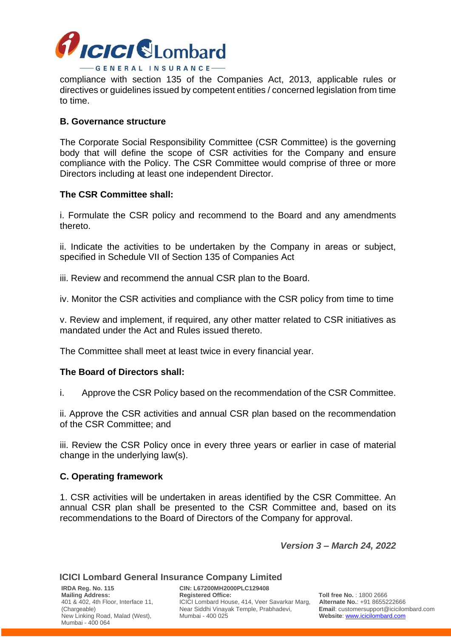

compliance with section 135 of the Companies Act, 2013, applicable rules or directives or guidelines issued by competent entities / concerned legislation from time to time.

## **B. Governance structure**

The Corporate Social Responsibility Committee (CSR Committee) is the governing body that will define the scope of CSR activities for the Company and ensure compliance with the Policy. The CSR Committee would comprise of three or more Directors including at least one independent Director.

#### **The CSR Committee shall:**

i. Formulate the CSR policy and recommend to the Board and any amendments thereto.

ii. Indicate the activities to be undertaken by the Company in areas or subject, specified in Schedule VII of Section 135 of Companies Act

iii. Review and recommend the annual CSR plan to the Board.

iv. Monitor the CSR activities and compliance with the CSR policy from time to time

v. Review and implement, if required, any other matter related to CSR initiatives as mandated under the Act and Rules issued thereto.

The Committee shall meet at least twice in every financial year.

#### **The Board of Directors shall:**

i. Approve the CSR Policy based on the recommendation of the CSR Committee.

ii. Approve the CSR activities and annual CSR plan based on the recommendation of the CSR Committee; and

iii. Review the CSR Policy once in every three years or earlier in case of material change in the underlying law(s).

#### **C. Operating framework**

1. CSR activities will be undertaken in areas identified by the CSR Committee. An annual CSR plan shall be presented to the CSR Committee and, based on its recommendations to the Board of Directors of the Company for approval.

*Version 3 – March 24, 2022*

#### **ICICI Lombard General Insurance Company Limited**

New Linking Road, Malad (West), Mumbai - 400 064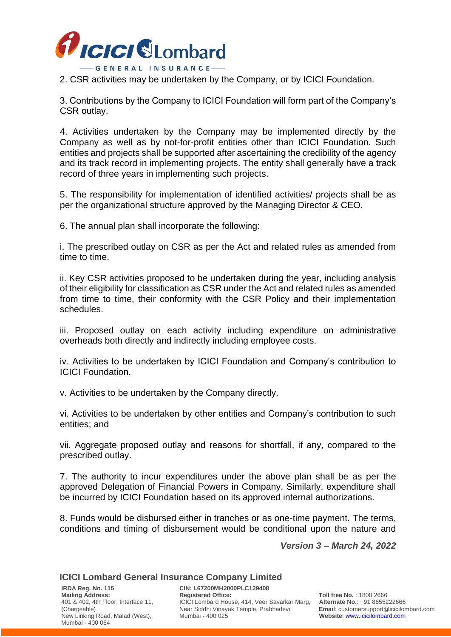

2. CSR activities may be undertaken by the Company, or by ICICI Foundation.

3. Contributions by the Company to ICICI Foundation will form part of the Company's CSR outlay.

4. Activities undertaken by the Company may be implemented directly by the Company as well as by not-for-profit entities other than ICICI Foundation. Such entities and projects shall be supported after ascertaining the credibility of the agency and its track record in implementing projects. The entity shall generally have a track record of three years in implementing such projects.

5. The responsibility for implementation of identified activities/ projects shall be as per the organizational structure approved by the Managing Director & CEO.

6. The annual plan shall incorporate the following:

i. The prescribed outlay on CSR as per the Act and related rules as amended from time to time.

ii. Key CSR activities proposed to be undertaken during the year, including analysis of their eligibility for classification as CSR under the Act and related rules as amended from time to time, their conformity with the CSR Policy and their implementation schedules.

iii. Proposed outlay on each activity including expenditure on administrative overheads both directly and indirectly including employee costs.

iv. Activities to be undertaken by ICICI Foundation and Company's contribution to ICICI Foundation.

v. Activities to be undertaken by the Company directly.

vi. Activities to be undertaken by other entities and Company's contribution to such entities; and

vii. Aggregate proposed outlay and reasons for shortfall, if any, compared to the prescribed outlay.

7. The authority to incur expenditures under the above plan shall be as per the approved Delegation of Financial Powers in Company. Similarly, expenditure shall be incurred by ICICI Foundation based on its approved internal authorizations.

8. Funds would be disbursed either in tranches or as one-time payment. The terms, conditions and timing of disbursement would be conditional upon the nature and

*Version 3 – March 24, 2022*

## **ICICI Lombard General Insurance Company Limited**

**IRDA Reg. No. 115 CIN: L67200MH2000PLC129408** New Linking Road, Malad (West), Mumbai - 400 064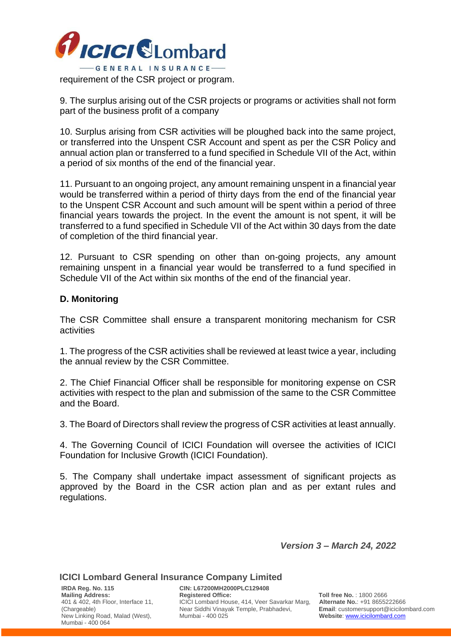

9. The surplus arising out of the CSR projects or programs or activities shall not form

part of the business profit of a company

10. Surplus arising from CSR activities will be ploughed back into the same project, or transferred into the Unspent CSR Account and spent as per the CSR Policy and annual action plan or transferred to a fund specified in Schedule VII of the Act, within a period of six months of the end of the financial year.

11. Pursuant to an ongoing project, any amount remaining unspent in a financial year would be transferred within a period of thirty days from the end of the financial year to the Unspent CSR Account and such amount will be spent within a period of three financial years towards the project. In the event the amount is not spent, it will be transferred to a fund specified in Schedule VII of the Act within 30 days from the date of completion of the third financial year.

12. Pursuant to CSR spending on other than on-going projects, any amount remaining unspent in a financial year would be transferred to a fund specified in Schedule VII of the Act within six months of the end of the financial year.

# **D. Monitoring**

The CSR Committee shall ensure a transparent monitoring mechanism for CSR activities

1. The progress of the CSR activities shall be reviewed at least twice a year, including the annual review by the CSR Committee.

2. The Chief Financial Officer shall be responsible for monitoring expense on CSR activities with respect to the plan and submission of the same to the CSR Committee and the Board.

3. The Board of Directors shall review the progress of CSR activities at least annually.

4. The Governing Council of ICICI Foundation will oversee the activities of ICICI Foundation for Inclusive Growth (ICICI Foundation).

5. The Company shall undertake impact assessment of significant projects as approved by the Board in the CSR action plan and as per extant rules and regulations.

*Version 3 – March 24, 2022*

## **ICICI Lombard General Insurance Company Limited**

**IRDA Reg. No. 115 CIN: L67200MH2000PLC129408** New Linking Road, Malad (West), Mumbai - 400 064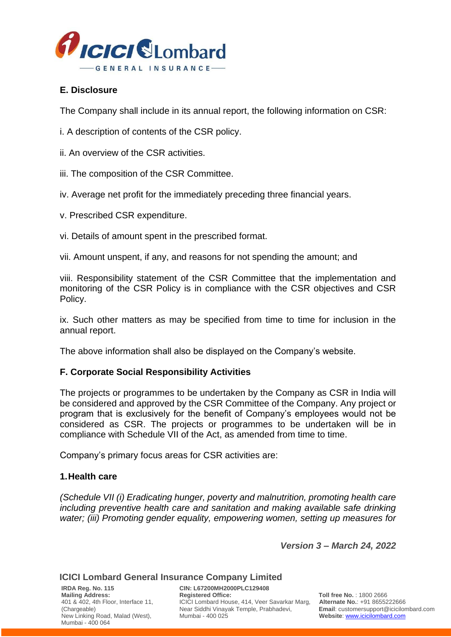

## **E. Disclosure**

The Company shall include in its annual report, the following information on CSR:

i. A description of contents of the CSR policy.

ii. An overview of the CSR activities.

iii. The composition of the CSR Committee.

iv. Average net profit for the immediately preceding three financial years.

v. Prescribed CSR expenditure.

vi. Details of amount spent in the prescribed format.

vii. Amount unspent, if any, and reasons for not spending the amount; and

viii. Responsibility statement of the CSR Committee that the implementation and monitoring of the CSR Policy is in compliance with the CSR objectives and CSR Policy.

ix. Such other matters as may be specified from time to time for inclusion in the annual report.

The above information shall also be displayed on the Company's website.

## **F. Corporate Social Responsibility Activities**

The projects or programmes to be undertaken by the Company as CSR in India will be considered and approved by the CSR Committee of the Company. Any project or program that is exclusively for the benefit of Company's employees would not be considered as CSR. The projects or programmes to be undertaken will be in compliance with Schedule VII of the Act, as amended from time to time.

Company's primary focus areas for CSR activities are:

## **1.Health care**

*(Schedule VII (i) Eradicating hunger, poverty and malnutrition, promoting health care including preventive health care and sanitation and making available safe drinking water; (iii) Promoting gender equality, empowering women, setting up measures for* 

*Version 3 – March 24, 2022*

## **ICICI Lombard General Insurance Company Limited**

New Linking Road, Malad (West), Mumbai - 400 064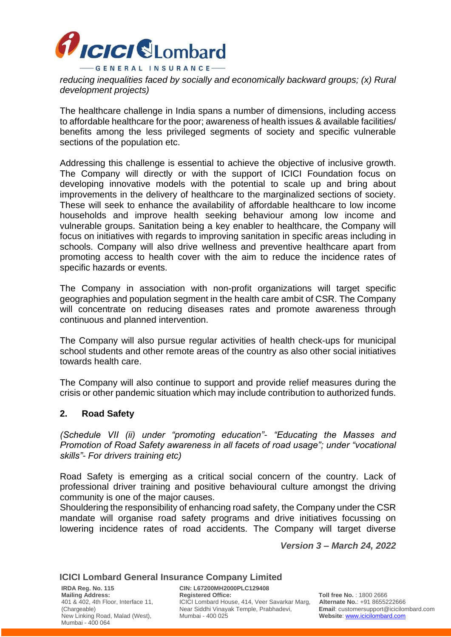

*reducing inequalities faced by socially and economically backward groups; (x) Rural development projects)*

The healthcare challenge in India spans a number of dimensions, including access to affordable healthcare for the poor; awareness of health issues & available facilities/ benefits among the less privileged segments of society and specific vulnerable sections of the population etc.

Addressing this challenge is essential to achieve the objective of inclusive growth. The Company will directly or with the support of ICICI Foundation focus on developing innovative models with the potential to scale up and bring about improvements in the delivery of healthcare to the marginalized sections of society. These will seek to enhance the availability of affordable healthcare to low income households and improve health seeking behaviour among low income and vulnerable groups. Sanitation being a key enabler to healthcare, the Company will focus on initiatives with regards to improving sanitation in specific areas including in schools. Company will also drive wellness and preventive healthcare apart from promoting access to health cover with the aim to reduce the incidence rates of specific hazards or events.

The Company in association with non-profit organizations will target specific geographies and population segment in the health care ambit of CSR. The Company will concentrate on reducing diseases rates and promote awareness through continuous and planned intervention.

The Company will also pursue regular activities of health check-ups for municipal school students and other remote areas of the country as also other social initiatives towards health care.

The Company will also continue to support and provide relief measures during the crisis or other pandemic situation which may include contribution to authorized funds.

## **2. Road Safety**

*(Schedule VII (ii) under "promoting education"- "Educating the Masses and Promotion of Road Safety awareness in all facets of road usage"; under "vocational skills"- For drivers training etc)*

Road Safety is emerging as a critical social concern of the country. Lack of professional driver training and positive behavioural culture amongst the driving community is one of the major causes.

Shouldering the responsibility of enhancing road safety, the Company under the CSR mandate will organise road safety programs and drive initiatives focussing on lowering incidence rates of road accidents. The Company will target diverse

*Version 3 – March 24, 2022*

#### **ICICI Lombard General Insurance Company Limited**

New Linking Road, Malad (West), Mumbai - 400 064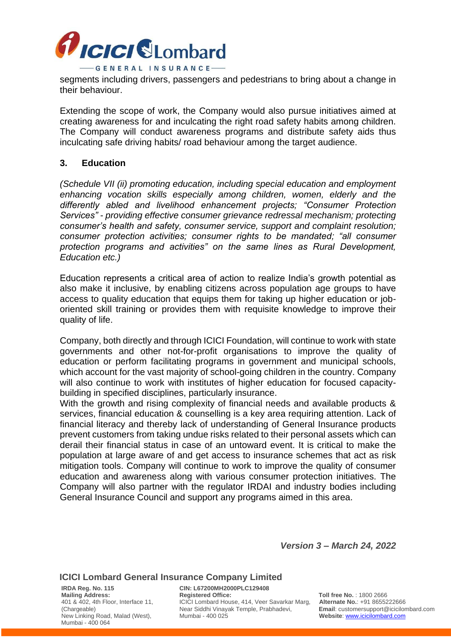

segments including drivers, passengers and pedestrians to bring about a change in their behaviour.

Extending the scope of work, the Company would also pursue initiatives aimed at creating awareness for and inculcating the right road safety habits among children. The Company will conduct awareness programs and distribute safety aids thus inculcating safe driving habits/ road behaviour among the target audience.

#### **3. Education**

*(Schedule VII (ii) promoting education, including special education and employment enhancing vocation skills especially among children, women, elderly and the differently abled and livelihood enhancement projects; "Consumer Protection Services" - providing effective consumer grievance redressal mechanism; protecting consumer's health and safety, consumer service, support and complaint resolution; consumer protection activities; consumer rights to be mandated; "all consumer protection programs and activities" on the same lines as Rural Development, Education etc.)*

Education represents a critical area of action to realize India's growth potential as also make it inclusive, by enabling citizens across population age groups to have access to quality education that equips them for taking up higher education or joboriented skill training or provides them with requisite knowledge to improve their quality of life.

Company, both directly and through ICICI Foundation, will continue to work with state governments and other not-for-profit organisations to improve the quality of education or perform facilitating programs in government and municipal schools, which account for the vast majority of school-going children in the country. Company will also continue to work with institutes of higher education for focused capacitybuilding in specified disciplines, particularly insurance.

With the growth and rising complexity of financial needs and available products & services, financial education & counselling is a key area requiring attention. Lack of financial literacy and thereby lack of understanding of General Insurance products prevent customers from taking undue risks related to their personal assets which can derail their financial status in case of an untoward event. It is critical to make the population at large aware of and get access to insurance schemes that act as risk mitigation tools. Company will continue to work to improve the quality of consumer education and awareness along with various consumer protection initiatives. The Company will also partner with the regulator IRDAI and industry bodies including General Insurance Council and support any programs aimed in this area.

*Version 3 – March 24, 2022*

#### **ICICI Lombard General Insurance Company Limited**

**IRDA Reg. No. 115 CIN: L67200MH2000PLC129408** New Linking Road, Malad (West), Mumbai - 400 064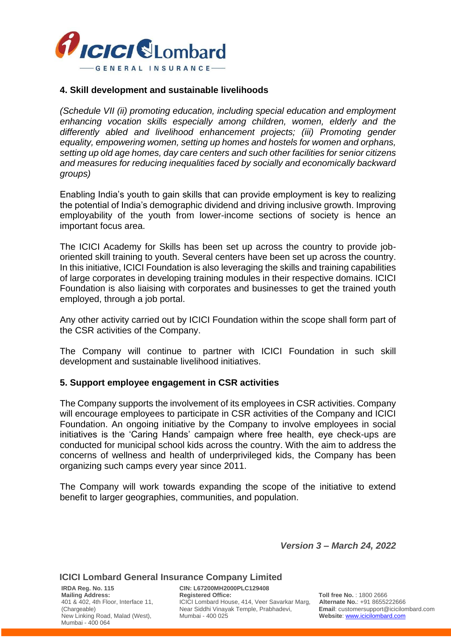

#### **4. Skill development and sustainable livelihoods**

*(Schedule VII (ii) promoting education, including special education and employment enhancing vocation skills especially among children, women, elderly and the differently abled and livelihood enhancement projects; (iii) Promoting gender equality, empowering women, setting up homes and hostels for women and orphans, setting up old age homes, day care centers and such other facilities for senior citizens and measures for reducing inequalities faced by socially and economically backward groups)*

Enabling India's youth to gain skills that can provide employment is key to realizing the potential of India's demographic dividend and driving inclusive growth. Improving employability of the youth from lower-income sections of society is hence an important focus area.

The ICICI Academy for Skills has been set up across the country to provide joboriented skill training to youth. Several centers have been set up across the country. In this initiative, ICICI Foundation is also leveraging the skills and training capabilities of large corporates in developing training modules in their respective domains. ICICI Foundation is also liaising with corporates and businesses to get the trained youth employed, through a job portal.

Any other activity carried out by ICICI Foundation within the scope shall form part of the CSR activities of the Company.

The Company will continue to partner with ICICI Foundation in such skill development and sustainable livelihood initiatives.

#### **5. Support employee engagement in CSR activities**

The Company supports the involvement of its employees in CSR activities. Company will encourage employees to participate in CSR activities of the Company and ICICI Foundation. An ongoing initiative by the Company to involve employees in social initiatives is the 'Caring Hands' campaign where free health, eye check-ups are conducted for municipal school kids across the country. With the aim to address the concerns of wellness and health of underprivileged kids, the Company has been organizing such camps every year since 2011.

The Company will work towards expanding the scope of the initiative to extend benefit to larger geographies, communities, and population.

*Version 3 – March 24, 2022*

#### **ICICI Lombard General Insurance Company Limited**

New Linking Road, Malad (West), Mumbai - 400 064